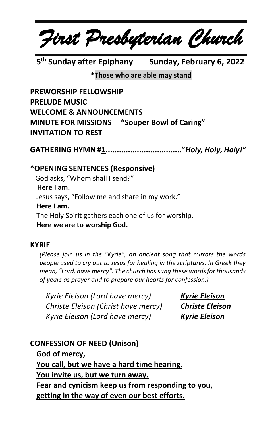*First Presbyterian Church*

**5 th Sunday after Epiphany Sunday, February 6, 2022**

**\*Those who are able may stand**

**PREWORSHIP FELLOWSHIP PRELUDE MUSIC WELCOME & ANNOUNCEMENTS MINUTE FOR MISSIONS "Souper Bowl of Caring" INVITATION TO REST**

**GATHERING HYMN #1.................................."***Holy, Holy, Holy!"*

#### **\*OPENING SENTENCES (Responsive)**

 God asks, "Whom shall I send?"  **Here I am.** Jesus says, "Follow me and share in my work." **Here I am.** The Holy Spirit gathers each one of us for worship. **Here we are to worship God.**

#### **KYRIE**

*(Please join us in the "Kyrie", an ancient song that mirrors the words people used to cry out to Jesus for healing in the scriptures. In Greek they mean, "Lord, have mercy". The church has sung these words for thousands of years as prayer and to prepare our hearts for confession.)*

*Kyrie Eleison (Lord have mercy) Kyrie Eleison Christe Eleison (Christ have mercy) Christe Eleison Kyrie Eleison (Lord have mercy) Kyrie Eleison*

#### **CONFESSION OF NEED (Unison)**

**God of mercy, You call, but we have a hard time hearing. You invite us, but we turn away. Fear and cynicism keep us from responding to you, getting in the way of even our best efforts.**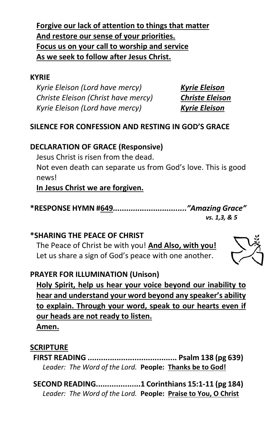**Forgive our lack of attention to things that matter And restore our sense of your priorities. Focus us on your call to worship and service As we seek to follow after Jesus Christ.**

#### **KYRIE**

*Kyrie Eleison (Lord have mercy) Kyrie Eleison Christe Eleison (Christ have mercy) Christe Eleison Kyrie Eleison (Lord have mercy) Kyrie Eleison*

#### **SILENCE FOR CONFESSION AND RESTING IN GOD'S GRACE**

### **DECLARATION OF GRACE (Responsive)**

Jesus Christ is risen from the dead.

Not even death can separate us from God's love. This is good news!

**In Jesus Christ we are forgiven.**

**\*RESPONSE HYMN #649***................................."Amazing Grace" vs. 1,3, & 5*

# **\*SHARING THE PEACE OF CHRIST**

The Peace of Christ be with you! **And Also, with you!** Let us share a sign of God's peace with one another.

# **PRAYER FOR ILLUMINATION (Unison)**

**Holy Spirit, help us hear your voice beyond our inability to hear and understand your word beyond any speaker's ability to explain. Through your word, speak to our hearts even if our heads are not ready to listen.**

**Amen.**

# **SCRIPTURE**

**FIRST READING ........................................ Psalm 138 (pg 639)** *Leader: The Word of the Lord.* **People: Thanks be to God!**

**SECOND READING....................1 Corinthians 15:1-11 (pg 184)** *Leader: The Word of the Lord.* **People: Praise to You, O Christ**

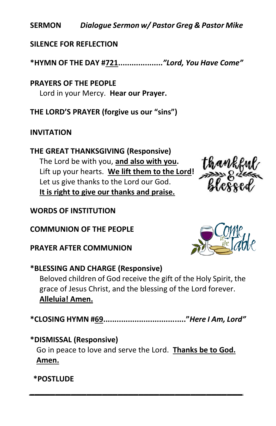**SERMON** *Dialogue Sermon w/ Pastor Greg & Pastor Mike* 

**SILENCE FOR REFLECTION**

**\*HYMN OF THE DAY #721....................***"Lord, You Have Come"*

**PRAYERS OF THE PEOPLE** Lord in your Mercy. **Hear our Prayer.**

**THE LORD'S PRAYER (forgive us our "sins")**

### **INVITATION**

**THE GREAT THANKSGIVING (Responsive)** The Lord be with you, **and also with you.**  Lift up your hearts. **We lift them to the Lord!**  Let us give thanks to the Lord our God. **It is right to give our thanks and praise.**



#### **WORDS OF INSTITUTION**

**COMMUNION OF THE PEOPLE**

**PRAYER AFTER COMMUNION**



# **\*BLESSING AND CHARGE (Responsive)**

Beloved children of God receive the gift of the Holy Spirit, the grace of Jesus Christ, and the blessing of the Lord forever. **Alleluia! Amen.**

**\*CLOSING HYMN #69....................................."***Here I Am, Lord"*

# **\*DISMISSAL (Responsive)**

Go in peace to love and serve the Lord. **Thanks be to God. Amen.**

*\_\_\_\_\_\_\_\_\_\_\_\_\_\_\_\_\_\_\_\_\_\_\_\_\_\_\_\_\_\_\_\_\_\_\_\_\_\_\_\_\_*

**\*POSTLUDE**